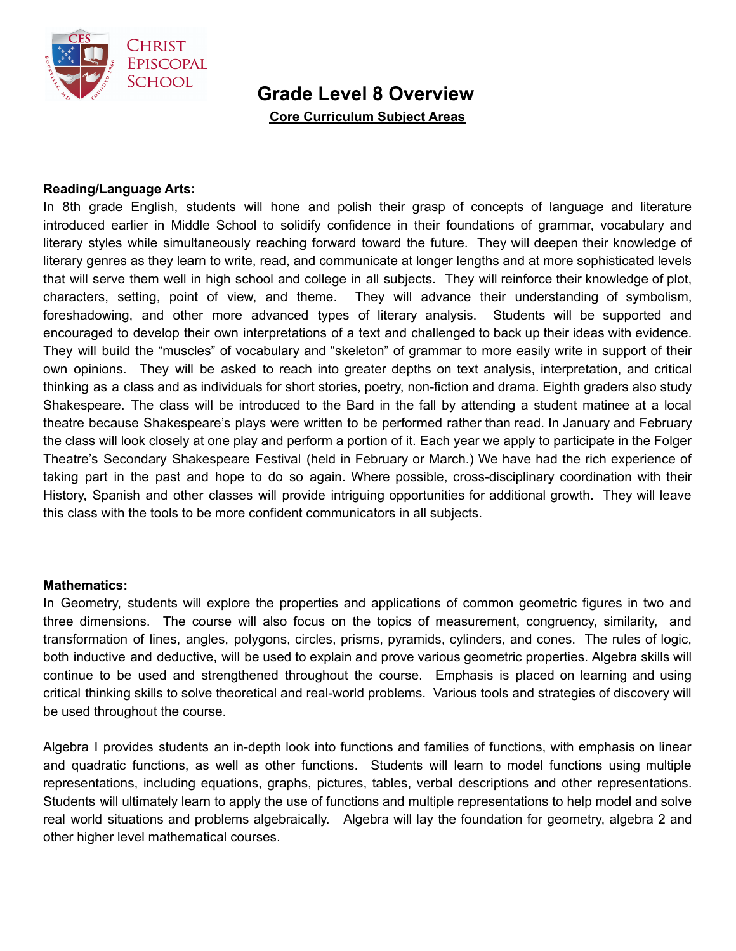

# **Grade Level 8 Overview**

**Core Curriculum Subject Areas**

## **Reading/Language Arts:**

In 8th grade English, students will hone and polish their grasp of concepts of language and literature introduced earlier in Middle School to solidify confidence in their foundations of grammar, vocabulary and literary styles while simultaneously reaching forward toward the future. They will deepen their knowledge of literary genres as they learn to write, read, and communicate at longer lengths and at more sophisticated levels that will serve them well in high school and college in all subjects. They will reinforce their knowledge of plot, characters, setting, point of view, and theme. They will advance their understanding of symbolism, foreshadowing, and other more advanced types of literary analysis. Students will be supported and encouraged to develop their own interpretations of a text and challenged to back up their ideas with evidence. They will build the "muscles" of vocabulary and "skeleton" of grammar to more easily write in support of their own opinions. They will be asked to reach into greater depths on text analysis, interpretation, and critical thinking as a class and as individuals for short stories, poetry, non-fiction and drama. Eighth graders also study Shakespeare. The class will be introduced to the Bard in the fall by attending a student matinee at a local theatre because Shakespeare's plays were written to be performed rather than read. In January and February the class will look closely at one play and perform a portion of it. Each year we apply to participate in the Folger Theatre's Secondary Shakespeare Festival (held in February or March.) We have had the rich experience of taking part in the past and hope to do so again. Where possible, cross-disciplinary coordination with their History, Spanish and other classes will provide intriguing opportunities for additional growth. They will leave this class with the tools to be more confident communicators in all subjects.

#### **Mathematics:**

In Geometry, students will explore the properties and applications of common geometric figures in two and three dimensions. The course will also focus on the topics of measurement, congruency, similarity, and transformation of lines, angles, polygons, circles, prisms, pyramids, cylinders, and cones. The rules of logic, both inductive and deductive, will be used to explain and prove various geometric properties. Algebra skills will continue to be used and strengthened throughout the course. Emphasis is placed on learning and using critical thinking skills to solve theoretical and real-world problems. Various tools and strategies of discovery will be used throughout the course.

Algebra I provides students an in-depth look into functions and families of functions, with emphasis on linear and quadratic functions, as well as other functions. Students will learn to model functions using multiple representations, including equations, graphs, pictures, tables, verbal descriptions and other representations. Students will ultimately learn to apply the use of functions and multiple representations to help model and solve real world situations and problems algebraically. Algebra will lay the foundation for geometry, algebra 2 and other higher level mathematical courses.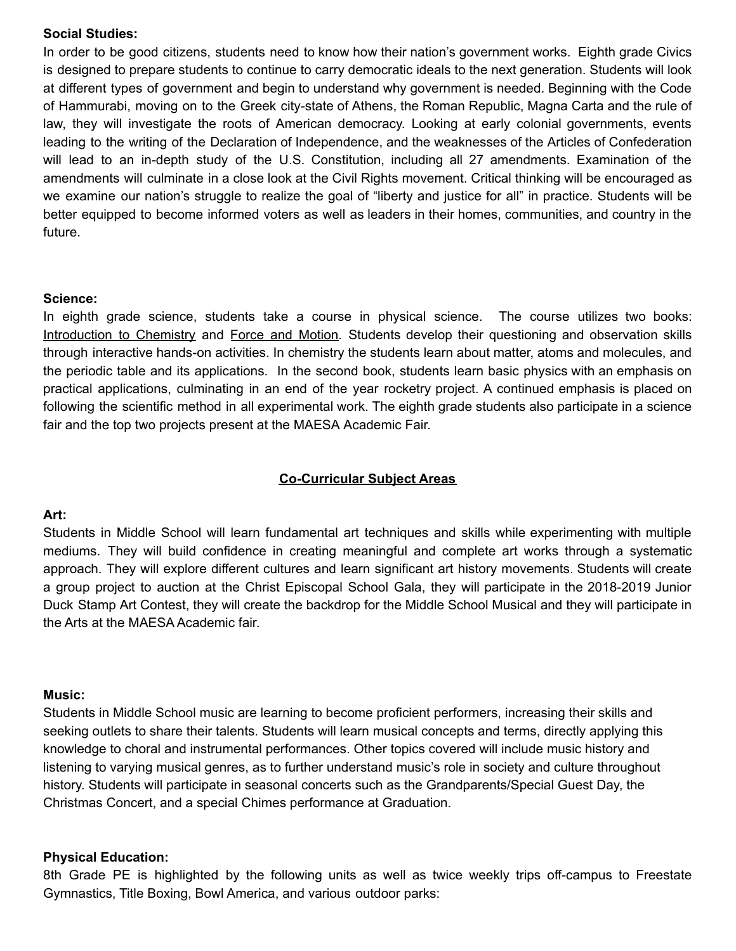## **Social Studies:**

In order to be good citizens, students need to know how their nation's government works. Eighth grade Civics is designed to prepare students to continue to carry democratic ideals to the next generation. Students will look at different types of government and begin to understand why government is needed. Beginning with the Code of Hammurabi, moving on to the Greek city-state of Athens, the Roman Republic, Magna Carta and the rule of law, they will investigate the roots of American democracy. Looking at early colonial governments, events leading to the writing of the Declaration of Independence, and the weaknesses of the Articles of Confederation will lead to an in-depth study of the U.S. Constitution, including all 27 amendments. Examination of the amendments will culminate in a close look at the Civil Rights movement. Critical thinking will be encouraged as we examine our nation's struggle to realize the goal of "liberty and justice for all" in practice. Students will be better equipped to become informed voters as well as leaders in their homes, communities, and country in the future.

### **Science:**

In eighth grade science, students take a course in physical science. The course utilizes two books: Introduction to Chemistry and Force and Motion. Students develop their questioning and observation skills through interactive hands-on activities. In chemistry the students learn about matter, atoms and molecules, and the periodic table and its applications. In the second book, students learn basic physics with an emphasis on practical applications, culminating in an end of the year rocketry project. A continued emphasis is placed on following the scientific method in all experimental work. The eighth grade students also participate in a science fair and the top two projects present at the MAESA Academic Fair.

## **Co-Curricular Subject Areas**

## **Art:**

Students in Middle School will learn fundamental art techniques and skills while experimenting with multiple mediums. They will build confidence in creating meaningful and complete art works through a systematic approach. They will explore different cultures and learn significant art history movements. Students will create a group project to auction at the Christ Episcopal School Gala, they will participate in the 2018-2019 Junior Duck Stamp Art Contest, they will create the backdrop for the Middle School Musical and they will participate in the Arts at the MAESA Academic fair.

#### **Music:**

Students in Middle School music are learning to become proficient performers, increasing their skills and seeking outlets to share their talents. Students will learn musical concepts and terms, directly applying this knowledge to choral and instrumental performances. Other topics covered will include music history and listening to varying musical genres, as to further understand music's role in society and culture throughout history. Students will participate in seasonal concerts such as the Grandparents/Special Guest Day, the Christmas Concert, and a special Chimes performance at Graduation.

#### **Physical Education:**

8th Grade PE is highlighted by the following units as well as twice weekly trips off-campus to Freestate Gymnastics, Title Boxing, Bowl America, and various outdoor parks: